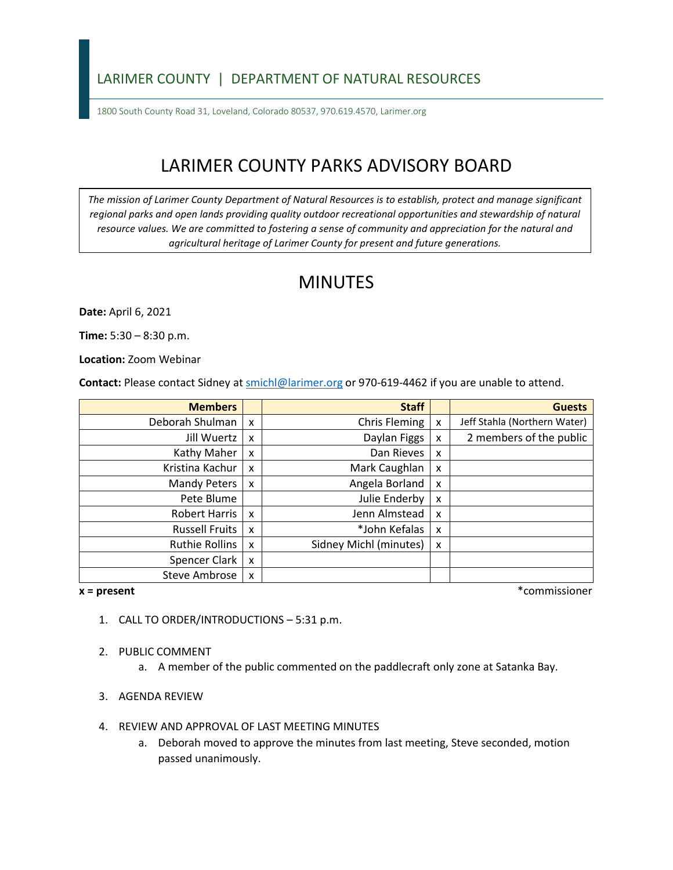### LARIMER COUNTY | DEPARTMENT OF NATURAL RESOURCES

1800 South County Road 31, Loveland, Colorado 80537, 970.619.4570, Larimer.org

# LARIMER COUNTY PARKS ADVISORY BOARD

*The mission of Larimer County Department of Natural Resources is to establish, protect and manage significant*  regional parks and open lands providing quality outdoor recreational opportunities and stewardship of natural *resource values. We are committed to fostering a sense of community and appreciation for the natural and agricultural heritage of Larimer County for present and future generations.*

## MINUTES

**Date:** April 6, 2021

**Time:** 5:30 – 8:30 p.m.

**Location:** Zoom Webinar

**Contact:** Please contact Sidney a[t smichl@larimer.org](mailto:smichl@larimer.org) or 970-619-4462 if you are unable to attend.

| <b>Members</b>        |                           | <b>Staff</b>           |   | <b>Guests</b>                |
|-----------------------|---------------------------|------------------------|---|------------------------------|
| Deborah Shulman       | X                         | Chris Fleming          | X | Jeff Stahla (Northern Water) |
| Jill Wuertz           | X                         | Daylan Figgs           | X | 2 members of the public      |
| Kathy Maher           | X                         | Dan Rieves             | X |                              |
| Kristina Kachur       | X                         | Mark Caughlan          | X |                              |
| <b>Mandy Peters</b>   | X                         | Angela Borland         | X |                              |
| Pete Blume            |                           | Julie Enderby          | X |                              |
| <b>Robert Harris</b>  | X                         | Jenn Almstead          | X |                              |
| <b>Russell Fruits</b> | X                         | *John Kefalas          | X |                              |
| <b>Ruthie Rollins</b> | X                         | Sidney Michl (minutes) | X |                              |
| Spencer Clark         | $\boldsymbol{\mathsf{x}}$ |                        |   |                              |
| <b>Steve Ambrose</b>  | X                         |                        |   |                              |

**x = present** \*commissioner

- 1. CALL TO ORDER/INTRODUCTIONS 5:31 p.m.
- 2. PUBLIC COMMENT
	- a. A member of the public commented on the paddlecraft only zone at Satanka Bay.
- 3. AGENDA REVIEW
- 4. REVIEW AND APPROVAL OF LAST MEETING MINUTES
	- a. Deborah moved to approve the minutes from last meeting, Steve seconded, motion passed unanimously.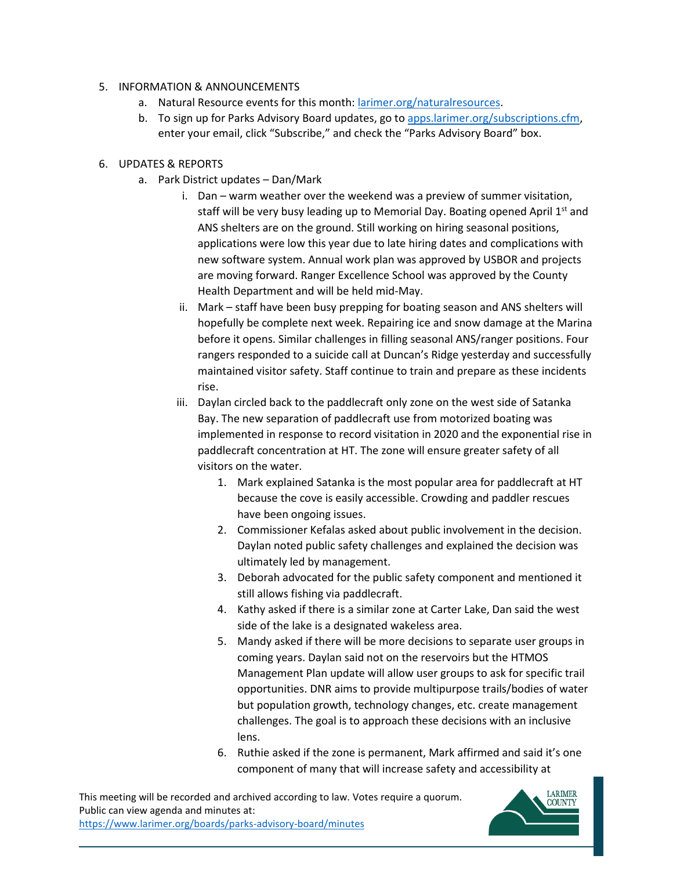#### 5. INFORMATION & ANNOUNCEMENTS

- a. Natural Resource events for this month: [larimer.org/naturalresources.](https://www.larimer.org/naturalresources)
- b. To sign up for Parks Advisory Board updates, go to [apps.larimer.org/subscriptions.cfm,](https://apps.larimer.org/subscriptions.cfm) enter your email, click "Subscribe," and check the "Parks Advisory Board" box.

#### 6. UPDATES & REPORTS

- a. Park District updates Dan/Mark
	- i. Dan warm weather over the weekend was a preview of summer visitation, staff will be very busy leading up to Memorial Day. Boating opened April 1st and ANS shelters are on the ground. Still working on hiring seasonal positions, applications were low this year due to late hiring dates and complications with new software system. Annual work plan was approved by USBOR and projects are moving forward. Ranger Excellence School was approved by the County Health Department and will be held mid-May.
	- ii. Mark staff have been busy prepping for boating season and ANS shelters will hopefully be complete next week. Repairing ice and snow damage at the Marina before it opens. Similar challenges in filling seasonal ANS/ranger positions. Four rangers responded to a suicide call at Duncan's Ridge yesterday and successfully maintained visitor safety. Staff continue to train and prepare as these incidents rise.
	- iii. Daylan circled back to the paddlecraft only zone on the west side of Satanka Bay. The new separation of paddlecraft use from motorized boating was implemented in response to record visitation in 2020 and the exponential rise in paddlecraft concentration at HT. The zone will ensure greater safety of all visitors on the water.
		- 1. Mark explained Satanka is the most popular area for paddlecraft at HT because the cove is easily accessible. Crowding and paddler rescues have been ongoing issues.
		- 2. Commissioner Kefalas asked about public involvement in the decision. Daylan noted public safety challenges and explained the decision was ultimately led by management.
		- 3. Deborah advocated for the public safety component and mentioned it still allows fishing via paddlecraft.
		- 4. Kathy asked if there is a similar zone at Carter Lake, Dan said the west side of the lake is a designated wakeless area.
		- 5. Mandy asked if there will be more decisions to separate user groups in coming years. Daylan said not on the reservoirs but the HTMOS Management Plan update will allow user groups to ask for specific trail opportunities. DNR aims to provide multipurpose trails/bodies of water but population growth, technology changes, etc. create management challenges. The goal is to approach these decisions with an inclusive lens.
		- 6. Ruthie asked if the zone is permanent, Mark affirmed and said it's one component of many that will increase safety and accessibility at

This meeting will be recorded and archived according to law. Votes require a quorum. Public can view agenda and minutes at: <https://www.larimer.org/boards/parks-advisory-board/minutes>

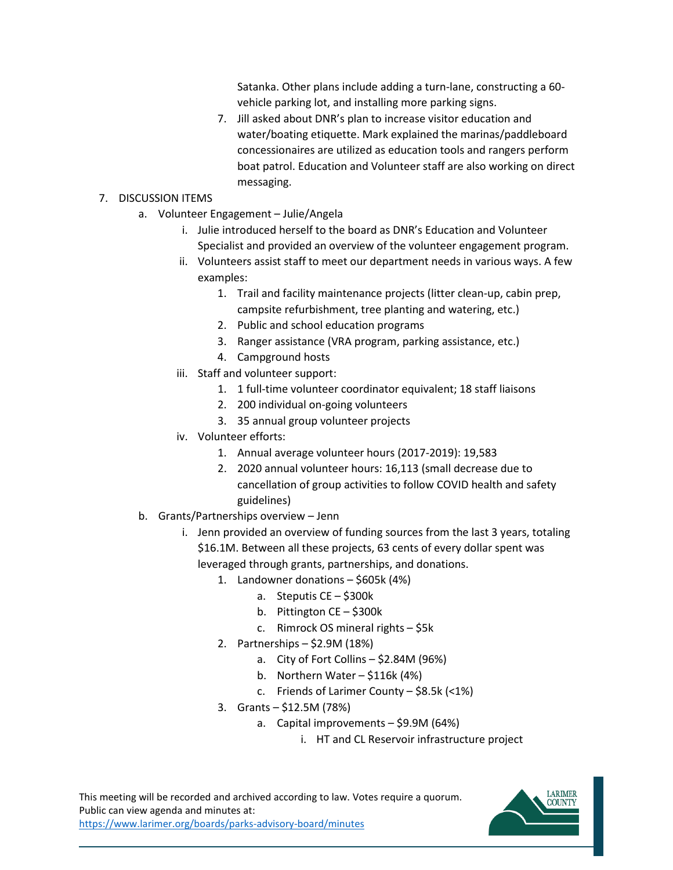Satanka. Other plans include adding a turn-lane, constructing a 60 vehicle parking lot, and installing more parking signs.

7. Jill asked about DNR's plan to increase visitor education and water/boating etiquette. Mark explained the marinas/paddleboard concessionaires are utilized as education tools and rangers perform boat patrol. Education and Volunteer staff are also working on direct messaging.

#### 7. DISCUSSION ITEMS

- a. Volunteer Engagement Julie/Angela
	- i. Julie introduced herself to the board as DNR's Education and Volunteer Specialist and provided an overview of the volunteer engagement program.
	- ii. Volunteers assist staff to meet our department needs in various ways. A few examples:
		- 1. Trail and facility maintenance projects (litter clean-up, cabin prep, campsite refurbishment, tree planting and watering, etc.)
		- 2. Public and school education programs
		- 3. Ranger assistance (VRA program, parking assistance, etc.)
		- 4. Campground hosts
	- iii. Staff and volunteer support:
		- 1. 1 full-time volunteer coordinator equivalent; 18 staff liaisons
		- 2. 200 individual on-going volunteers
		- 3. 35 annual group volunteer projects
	- iv. Volunteer efforts:
		- 1. Annual average volunteer hours (2017-2019): 19,583
		- 2. 2020 annual volunteer hours: 16,113 (small decrease due to cancellation of group activities to follow COVID health and safety guidelines)
- b. Grants/Partnerships overview Jenn
	- i. Jenn provided an overview of funding sources from the last 3 years, totaling \$16.1M. Between all these projects, 63 cents of every dollar spent was leveraged through grants, partnerships, and donations.
		- 1. Landowner donations \$605k (4%)
			- a. Steputis CE \$300k
			- b. Pittington CE \$300k
			- c. Rimrock OS mineral rights \$5k
		- 2. Partnerships \$2.9M (18%)
			- a. City of Fort Collins \$2.84M (96%)
			- b. Northern Water \$116k (4%)
			- c. Friends of Larimer County \$8.5k (<1%)
		- 3. Grants \$12.5M (78%)
			- a. Capital improvements \$9.9M (64%)
				- i. HT and CL Reservoir infrastructure project

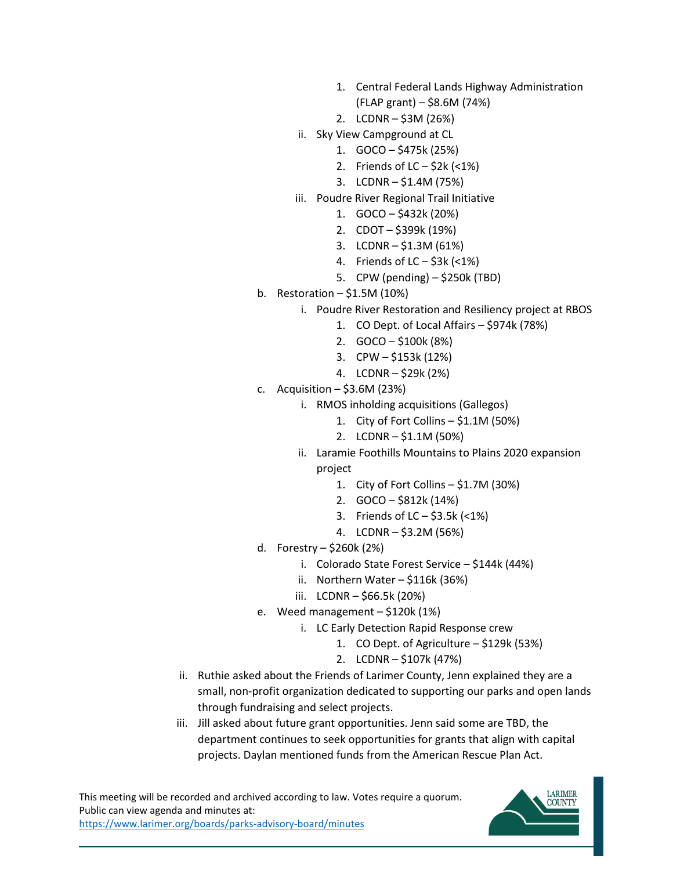- 1. Central Federal Lands Highway Administration (FLAP grant) – \$8.6M (74%)
- 2. LCDNR \$3M (26%)
- ii. Sky View Campground at CL
	- 1. GOCO \$475k (25%)
	- 2. Friends of  $LC $2k$  (<1%)
	- 3. LCDNR \$1.4M (75%)
- iii. Poudre River Regional Trail Initiative
	- 1. GOCO \$432k (20%)
	- 2. CDOT \$399k (19%)
	- 3. LCDNR \$1.3M (61%)
	- 4. Friends of  $LC 53k$  (<1%)
	- 5. CPW (pending) \$250k (TBD)
- b. Restoration  $-$  \$1.5M (10%)
	- i. Poudre River Restoration and Resiliency project at RBOS
		- 1. CO Dept. of Local Affairs \$974k (78%)
		- 2. GOCO \$100k (8%)
		- 3. CPW \$153k (12%)
		- 4. LCDNR \$29k (2%)
- c. Acquisition  $-$  \$3.6M (23%)
	- i. RMOS inholding acquisitions (Gallegos)
		- 1. City of Fort Collins \$1.1M (50%)
		- 2. LCDNR \$1.1M (50%)
	- ii. Laramie Foothills Mountains to Plains 2020 expansion project
		- 1. City of Fort Collins \$1.7M (30%)
		- 2. GOCO \$812k (14%)
		- 3. Friends of LC \$3.5k (<1%)
		- 4. LCDNR \$3.2M (56%)
- d. Forestry \$260k (2%)
	- i. Colorado State Forest Service \$144k (44%)
	- ii. Northern Water \$116k (36%)
	- iii. LCDNR \$66.5k (20%)
- e. Weed management \$120k (1%)
	- i. LC Early Detection Rapid Response crew
		- 1. CO Dept. of Agriculture \$129k (53%)
		- 2. LCDNR \$107k (47%)
- ii. Ruthie asked about the Friends of Larimer County, Jenn explained they are a small, non-profit organization dedicated to supporting our parks and open lands through fundraising and select projects.
- iii. Jill asked about future grant opportunities. Jenn said some are TBD, the department continues to seek opportunities for grants that align with capital projects. Daylan mentioned funds from the American Rescue Plan Act.